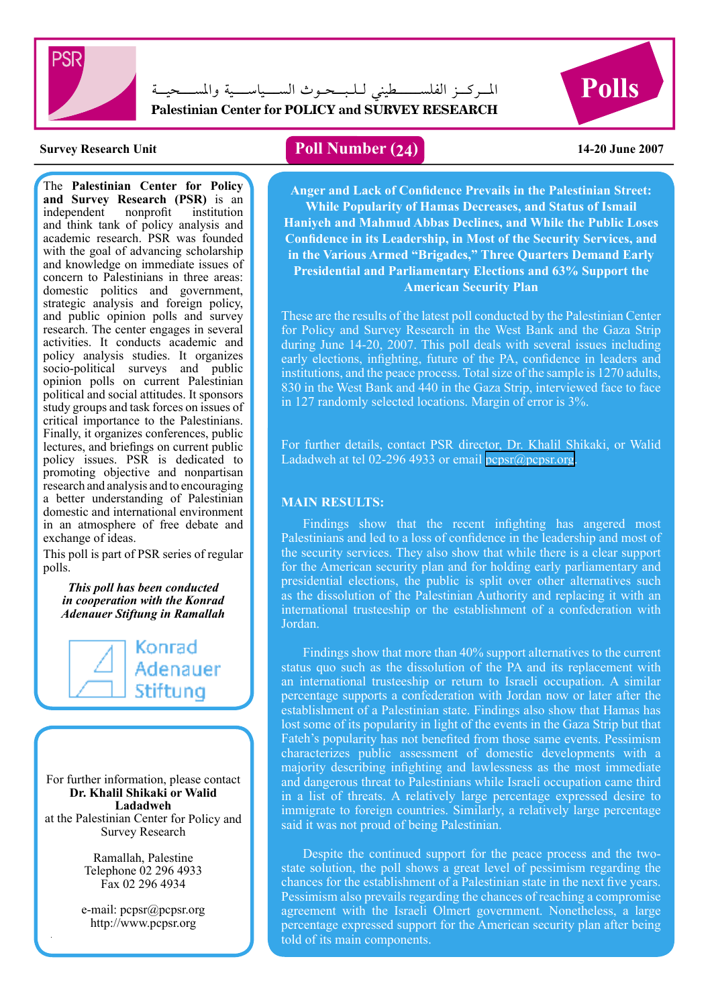

 $\rm{Polls}$  ) المسركــز الفلســــــــطينى لــلبـــحـوث الســــياســــية والمســــحيـــة **Palestinian Center for POLICY and SURVEY RESEARCH**



The **Palestinian Center for Policy and Survey Research (PSR)** is an independent nonprofit institution independent and think tank of policy analysis and academic research. PSR was founded with the goal of advancing scholarship and knowledge on immediate issues of concern to Palestinians in three areas: domestic politics and government, strategic analysis and foreign policy, and public opinion polls and survey research. The center engages in several activities. It conducts academic and policy analysis studies. It organizes socio-political surveys and public opinion polls on current Palestinian political and social attitudes. It sponsors study groups and task forces on issues of critical importance to the Palestinians. Finally, it organizes conferences, public lectures, and briefings on current public policy issues. PSR is dedicated to promoting objective and nonpartisan research and analysis and to encouraging a better understanding of Palestinian domestic and international environment in an atmosphere of free debate and exchange of ideas.

This poll is part of PSR series of regular polls.

*This poll has been conducted in cooperation with the Konrad Adenauer Stiftung in Ramallah*

> Konrad Adenauer Stiftung

For further information, please contact **Dr. Khalil Shikaki or Walid Ladadweh** at the Palestinian Center for Policy and Survey Research

> Ramallah, Palestine Telephone 02 296 4933 Fax 02 296 4934

e-mail: pcpsr@pcpsr.org http://www.pcpsr.org

## **Survey Research Unit Poll Number (24) 14-20 June 2007**

**Anger and Lack of Confidence Prevails in the Palestinian Street: While Popularity of Hamas Decreases, and Status of Ismail Haniyeh and Mahmud Abbas Declines, and While the Public Loses Confidence in its Leadership, in Most of the Security Services, and in the Various Armed "Brigades," Three Quarters Demand Early Presidential and Parliamentary Elections and 63% Support the American Security Plan**

These are the results of the latest poll conducted by the Palestinian Center for Policy and Survey Research in the West Bank and the Gaza Strip during June 14-20, 2007. This poll deals with several issues including early elections, infighting, future of the PA, confidence in leaders and institutions, and the peace process. Total size of the sample is 1270 adults, 830 in the West Bank and 440 in the Gaza Strip, interviewed face to face in 127 randomly selected locations. Margin of error is 3%.

For further details, contact PSR director, Dr. Khalil Shikaki, or Walid Ladadweh at tel 02-296 4933 or email [pcpsr@pcpsr.org](mailto:pcpsr@pcpsr.org).

#### **MAIN RESULTS:**

Findings show that the recent infighting has angered most Palestinians and led to a loss of confidence in the leadership and most of the security services. They also show that while there is a clear support for the American security plan and for holding early parliamentary and presidential elections, the public is split over other alternatives such as the dissolution of the Palestinian Authority and replacing it with an international trusteeship or the establishment of a confederation with Jordan.

Findings show that more than 40% support alternatives to the current status quo such as the dissolution of the PA and its replacement with an international trusteeship or return to Israeli occupation. A similar percentage supports a confederation with Jordan now or later after the establishment of a Palestinian state. Findings also show that Hamas has lost some of its popularity in light of the events in the Gaza Strip but that Fateh's popularity has not benefited from those same events. Pessimism characterizes public assessment of domestic developments with a majority describing infighting and lawlessness as the most immediate and dangerous threat to Palestinians while Israeli occupation came third in a list of threats. A relatively large percentage expressed desire to immigrate to foreign countries. Similarly, a relatively large percentage said it was not proud of being Palestinian.

percentage expressed supports. Despite the continued support for the peace process and the twostate solution, the poll shows a great level of pessimism regarding the chances for the establishment of a Palestinian state in the next five years. Pessimism also prevails regarding the chances of reaching a compromise agreement with the Israeli Olmert government. Nonetheless, a large percentage expressed support for the American security plan after being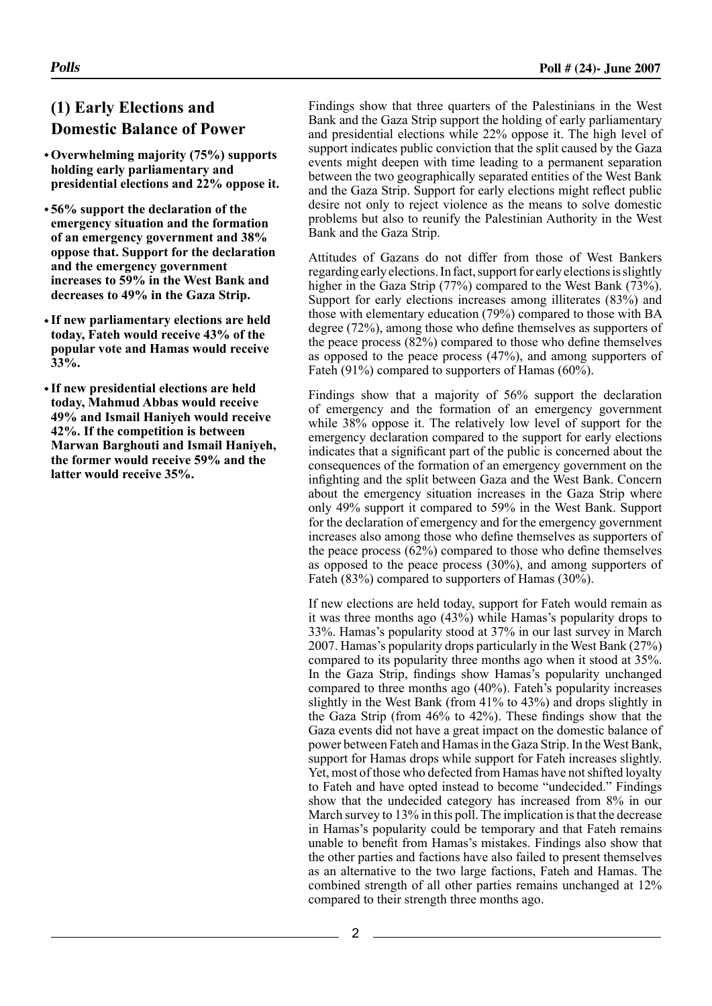# **(1) Early Elections and Domestic Balance of Power**

- **Overwhelming majority (75%) supports holding early parliamentary and presidential elections and 22% oppose it.**
- **56% support the declaration of the emergency situation and the formation of an emergency government and 38% oppose that. Support for the declaration and the emergency government increases to 59% in the West Bank and decreases to 49% in the Gaza Strip.**
- **If new parliamentary elections are held today, Fateh would receive 43% of the popular vote and Hamas would receive 33%.**
- **If new presidential elections are held today, Mahmud Abbas would receive 49% and Ismail Haniyeh would receive 42%. If the competition is between Marwan Barghouti and Ismail Haniyeh, the former would receive 59% and the latter would receive 35%.**

Findings show that three quarters of the Palestinians in the West Bank and the Gaza Strip support the holding of early parliamentary and presidential elections while 22% oppose it. The high level of support indicates public conviction that the split caused by the Gaza events might deepen with time leading to a permanent separation between the two geographically separated entities of the West Bank and the Gaza Strip. Support for early elections might reflect public desire not only to reject violence as the means to solve domestic problems but also to reunify the Palestinian Authority in the West Bank and the Gaza Strip.

Attitudes of Gazans do not differ from those of West Bankers regarding early elections. In fact, support for early elections is slightly higher in the Gaza Strip (77%) compared to the West Bank (73%). Support for early elections increases among illiterates (83%) and those with elementary education (79%) compared to those with BA degree (72%), among those who define themselves as supporters of the peace process (82%) compared to those who define themselves as opposed to the peace process (47%), and among supporters of Fateh (91%) compared to supporters of Hamas (60%).

Findings show that a majority of 56% support the declaration of emergency and the formation of an emergency government while 38% oppose it. The relatively low level of support for the emergency declaration compared to the support for early elections indicates that a significant part of the public is concerned about the consequences of the formation of an emergency government on the infighting and the split between Gaza and the West Bank. Concern about the emergency situation increases in the Gaza Strip where only 49% support it compared to 59% in the West Bank. Support for the declaration of emergency and for the emergency government increases also among those who define themselves as supporters of the peace process (62%) compared to those who define themselves as opposed to the peace process (30%), and among supporters of Fateh (83%) compared to supporters of Hamas (30%).

If new elections are held today, support for Fateh would remain as it was three months ago (43%) while Hamas's popularity drops to 33%. Hamas's popularity stood at 37% in our last survey in March 2007. Hamas's popularity drops particularly in the West Bank (27%) compared to its popularity three months ago when it stood at 35%. In the Gaza Strip, findings show Hamas's popularity unchanged compared to three months ago (40%). Fateh's popularity increases slightly in the West Bank (from 41% to 43%) and drops slightly in the Gaza Strip (from 46% to 42%). These findings show that the Gaza events did not have a great impact on the domestic balance of power between Fateh and Hamas in the Gaza Strip. In the West Bank, support for Hamas drops while support for Fateh increases slightly. Yet, most of those who defected from Hamas have not shifted loyalty to Fateh and have opted instead to become "undecided." Findings show that the undecided category has increased from 8% in our March survey to 13% in this poll. The implication is that the decrease in Hamas's popularity could be temporary and that Fateh remains unable to benefit from Hamas's mistakes. Findings also show that the other parties and factions have also failed to present themselves as an alternative to the two large factions, Fateh and Hamas. The combined strength of all other parties remains unchanged at 12% compared to their strength three months ago.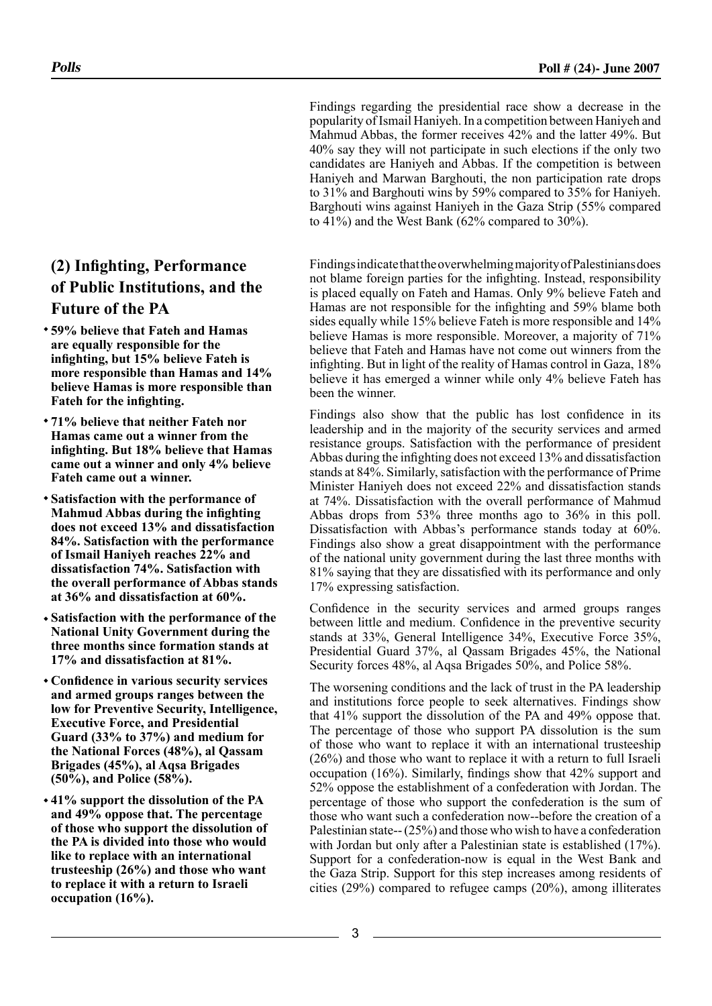Findings regarding the presidential race show a decrease in the popularity of Ismail Haniyeh. In a competition between Haniyeh and Mahmud Abbas, the former receives 42% and the latter 49%. But 40% say they will not participate in such elections if the only two candidates are Haniyeh and Abbas. If the competition is between Haniyeh and Marwan Barghouti, the non participation rate drops to 31% and Barghouti wins by 59% compared to 35% for Haniyeh. Barghouti wins against Haniyeh in the Gaza Strip (55% compared to 41%) and the West Bank (62% compared to 30%).

Findings indicate that the overwhelming majority of Palestinians does not blame foreign parties for the infighting. Instead, responsibility is placed equally on Fateh and Hamas. Only 9% believe Fateh and Hamas are not responsible for the infighting and 59% blame both sides equally while 15% believe Fateh is more responsible and 14% believe Hamas is more responsible. Moreover, a majority of 71% believe that Fateh and Hamas have not come out winners from the infighting. But in light of the reality of Hamas control in Gaza, 18% believe it has emerged a winner while only 4% believe Fateh has been the winner.

Findings also show that the public has lost confidence in its leadership and in the majority of the security services and armed resistance groups. Satisfaction with the performance of president Abbas during the infighting does not exceed 13% and dissatisfaction stands at 84%. Similarly, satisfaction with the performance of Prime Minister Haniyeh does not exceed 22% and dissatisfaction stands at 74%. Dissatisfaction with the overall performance of Mahmud Abbas drops from 53% three months ago to 36% in this poll. Dissatisfaction with Abbas's performance stands today at 60%. Findings also show a great disappointment with the performance of the national unity government during the last three months with 81% saying that they are dissatisfied with its performance and only 17% expressing satisfaction.

Confidence in the security services and armed groups ranges between little and medium. Confidence in the preventive security stands at 33%, General Intelligence 34%, Executive Force 35%, Presidential Guard 37%, al Qassam Brigades 45%, the National Security forces 48%, al Aqsa Brigades 50%, and Police 58%.

The worsening conditions and the lack of trust in the PA leadership and institutions force people to seek alternatives. Findings show that 41% support the dissolution of the PA and 49% oppose that. The percentage of those who support PA dissolution is the sum of those who want to replace it with an international trusteeship (26%) and those who want to replace it with a return to full Israeli occupation (16%). Similarly, findings show that 42% support and 52% oppose the establishment of a confederation with Jordan. The percentage of those who support the confederation is the sum of those who want such a confederation now--before the creation of a Palestinian state-- (25%) and those who wish to have a confederation with Jordan but only after a Palestinian state is established (17%). Support for a confederation-now is equal in the West Bank and the Gaza Strip. Support for this step increases among residents of cities (29%) compared to refugee camps (20%), among illiterates

## **(2) Infighting, Performance of Public Institutions, and the Future of the PA**

- **59% believe that Fateh and Hamas are equally responsible for the infighting, but 15% believe Fateh is more responsible than Hamas and 14% believe Hamas is more responsible than Fateh for the infighting.**
- **71% believe that neither Fateh nor Hamas came out a winner from the infighting. But 18% believe that Hamas came out a winner and only 4% believe Fateh came out a winner.**
- **Satisfaction with the performance of Mahmud Abbas during the infighting does not exceed 13% and dissatisfaction 84%. Satisfaction with the performance of Ismail Haniyeh reaches 22% and dissatisfaction 74%. Satisfaction with the overall performance of Abbas stands at 36% and dissatisfaction at 60%.**
- **Satisfaction with the performance of the National Unity Government during the three months since formation stands at 17% and dissatisfaction at 81%.**
- **Confidence in various security services and armed groups ranges between the low for Preventive Security, Intelligence, Executive Force, and Presidential Guard (33% to 37%) and medium for the National Forces (48%), al Qassam Brigades (45%), al Aqsa Brigades (50%), and Police (58%).**
- **41% support the dissolution of the PA and 49% oppose that. The percentage of those who support the dissolution of the PA is divided into those who would like to replace with an international trusteeship (26%) and those who want to replace it with a return to Israeli occupation (16%).**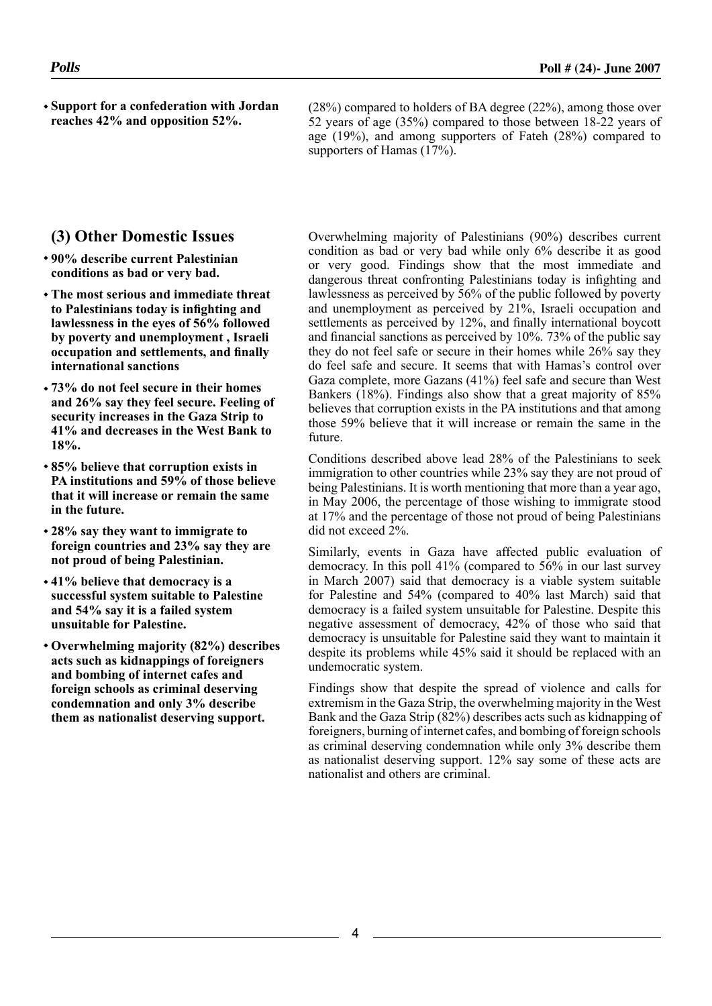**Support for a confederation with Jordan reaches 42% and opposition 52%.**

(28%) compared to holders of BA degree (22%), among those over 52 years of age (35%) compared to those between 18-22 years of age (19%), and among supporters of Fateh (28%) compared to supporters of Hamas (17%).

## **(3) Other Domestic Issues**

- **90% describe current Palestinian conditions as bad or very bad.**
- **The most serious and immediate threat to Palestinians today is infighting and lawlessness in the eyes of 56% followed by poverty and unemployment , Israeli occupation and settlements, and finally international sanctions**
- **73% do not feel secure in their homes and 26% say they feel secure. Feeling of security increases in the Gaza Strip to 41% and decreases in the West Bank to 18%.**
- **85% believe that corruption exists in PA institutions and 59% of those believe that it will increase or remain the same in the future.**
- **28% say they want to immigrate to foreign countries and 23% say they are not proud of being Palestinian.**
- **41% believe that democracy is a successful system suitable to Palestine and 54% say it is a failed system unsuitable for Palestine.**
- **Overwhelming majority (82%) describes acts such as kidnappings of foreigners and bombing of internet cafes and foreign schools as criminal deserving condemnation and only 3% describe them as nationalist deserving support.**

Overwhelming majority of Palestinians (90%) describes current condition as bad or very bad while only 6% describe it as good or very good. Findings show that the most immediate and dangerous threat confronting Palestinians today is infighting and lawlessness as perceived by 56% of the public followed by poverty and unemployment as perceived by 21%, Israeli occupation and settlements as perceived by 12%, and finally international boycott and financial sanctions as perceived by 10%. 73% of the public say they do not feel safe or secure in their homes while 26% say they do feel safe and secure. It seems that with Hamas's control over Gaza complete, more Gazans (41%) feel safe and secure than West Bankers (18%). Findings also show that a great majority of 85% believes that corruption exists in the PA institutions and that among those 59% believe that it will increase or remain the same in the future.

Conditions described above lead 28% of the Palestinians to seek immigration to other countries while 23% say they are not proud of being Palestinians. It is worth mentioning that more than a year ago, in May 2006, the percentage of those wishing to immigrate stood at 17% and the percentage of those not proud of being Palestinians did not exceed 2%.

Similarly, events in Gaza have affected public evaluation of democracy. In this poll 41% (compared to 56% in our last survey in March 2007) said that democracy is a viable system suitable for Palestine and 54% (compared to 40% last March) said that democracy is a failed system unsuitable for Palestine. Despite this negative assessment of democracy, 42% of those who said that democracy is unsuitable for Palestine said they want to maintain it despite its problems while 45% said it should be replaced with an undemocratic system.

Findings show that despite the spread of violence and calls for extremism in the Gaza Strip, the overwhelming majority in the West Bank and the Gaza Strip (82%) describes acts such as kidnapping of foreigners, burning of internet cafes, and bombing of foreign schools as criminal deserving condemnation while only 3% describe them as nationalist deserving support. 12% say some of these acts are nationalist and others are criminal.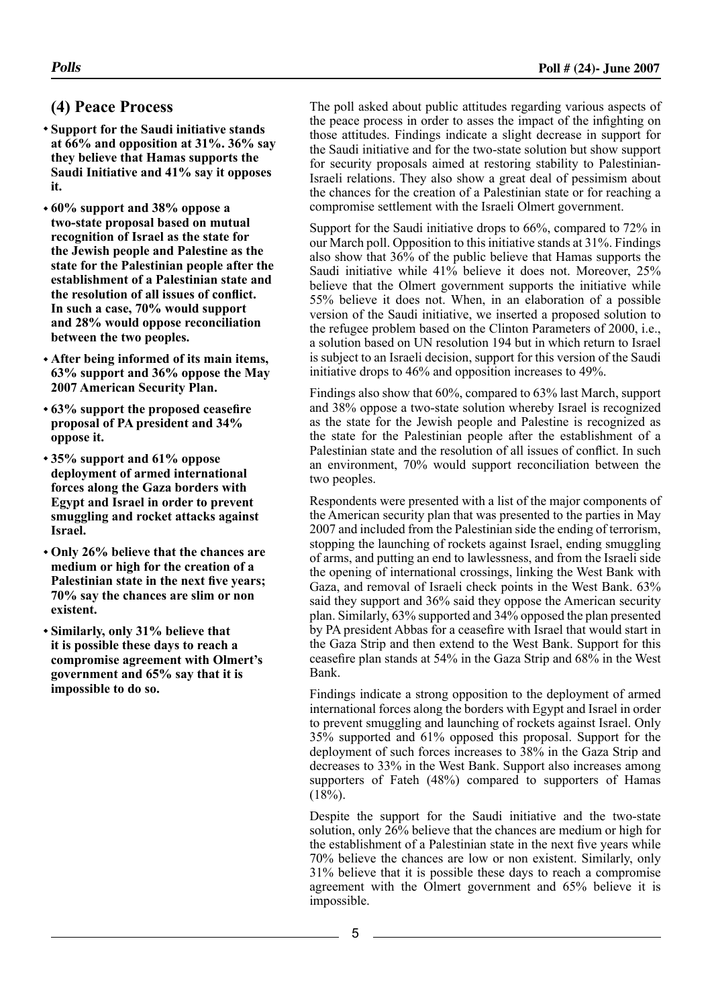## **(4) Peace Process**

- **Support for the Saudi initiative stands at 66% and opposition at 31%. 36% say they believe that Hamas supports the Saudi Initiative and 41% say it opposes it.**
- **60% support and 38% oppose a two-state proposal based on mutual recognition of Israel as the state for the Jewish people and Palestine as the state for the Palestinian people after the establishment of a Palestinian state and the resolution of all issues of conflict. In such a case, 70% would support and 28% would oppose reconciliation between the two peoples.**
- **After being informed of its main items, 63% support and 36% oppose the May 2007 American Security Plan.**
- **63% support the proposed ceasefire proposal of PA president and 34% oppose it.**
- **35% support and 61% oppose deployment of armed international forces along the Gaza borders with Egypt and Israel in order to prevent smuggling and rocket attacks against Israel.**
- **Only 26% believe that the chances are medium or high for the creation of a Palestinian state in the next five years; 70% say the chances are slim or non existent.**
- **Similarly, only 31% believe that it is possible these days to reach a compromise agreement with Olmert's government and 65% say that it is impossible to do so.**

The poll asked about public attitudes regarding various aspects of the peace process in order to asses the impact of the infighting on those attitudes. Findings indicate a slight decrease in support for the Saudi initiative and for the two-state solution but show support for security proposals aimed at restoring stability to Palestinian-Israeli relations. They also show a great deal of pessimism about the chances for the creation of a Palestinian state or for reaching a compromise settlement with the Israeli Olmert government.

Support for the Saudi initiative drops to 66%, compared to 72% in our March poll. Opposition to this initiative stands at 31%. Findings also show that 36% of the public believe that Hamas supports the Saudi initiative while 41% believe it does not. Moreover, 25% believe that the Olmert government supports the initiative while 55% believe it does not. When, in an elaboration of a possible version of the Saudi initiative, we inserted a proposed solution to the refugee problem based on the Clinton Parameters of 2000, i.e., a solution based on UN resolution 194 but in which return to Israel is subject to an Israeli decision, support for this version of the Saudi initiative drops to 46% and opposition increases to 49%.

Findings also show that 60%, compared to 63% last March, support and 38% oppose a two-state solution whereby Israel is recognized as the state for the Jewish people and Palestine is recognized as the state for the Palestinian people after the establishment of a Palestinian state and the resolution of all issues of conflict. In such an environment, 70% would support reconciliation between the two peoples.

Respondents were presented with a list of the major components of the American security plan that was presented to the parties in May 2007 and included from the Palestinian side the ending of terrorism, stopping the launching of rockets against Israel, ending smuggling of arms, and putting an end to lawlessness, and from the Israeli side the opening of international crossings, linking the West Bank with Gaza, and removal of Israeli check points in the West Bank. 63% said they support and 36% said they oppose the American security plan. Similarly, 63% supported and 34% opposed the plan presented by PA president Abbas for a ceasefire with Israel that would start in the Gaza Strip and then extend to the West Bank. Support for this ceasefire plan stands at 54% in the Gaza Strip and 68% in the West Bank.

Findings indicate a strong opposition to the deployment of armed international forces along the borders with Egypt and Israel in order to prevent smuggling and launching of rockets against Israel. Only 35% supported and 61% opposed this proposal. Support for the deployment of such forces increases to 38% in the Gaza Strip and decreases to 33% in the West Bank. Support also increases among supporters of Fateh (48%) compared to supporters of Hamas  $(18\%)$ .

Despite the support for the Saudi initiative and the two-state solution, only 26% believe that the chances are medium or high for the establishment of a Palestinian state in the next five years while 70% believe the chances are low or non existent. Similarly, only 31% believe that it is possible these days to reach a compromise agreement with the Olmert government and 65% believe it is impossible.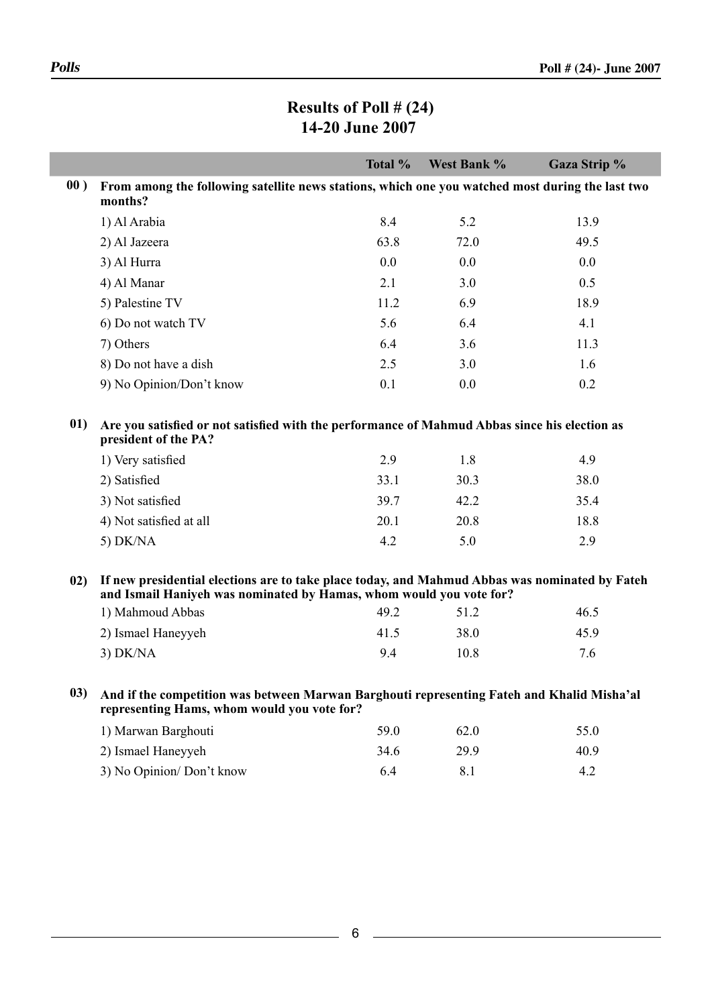Г

| Results of Poll $\# (24)$ |
|---------------------------|
| 14-20 June 2007           |

|     |                                                                                                                                                                       | Total % | West Bank % | Gaza Strip % |  |  |
|-----|-----------------------------------------------------------------------------------------------------------------------------------------------------------------------|---------|-------------|--------------|--|--|
| 00) | From among the following satellite news stations, which one you watched most during the last two<br>months?                                                           |         |             |              |  |  |
|     | 1) Al Arabia                                                                                                                                                          | 8.4     | 5.2         | 13.9         |  |  |
|     | 2) Al Jazeera                                                                                                                                                         | 63.8    | 72.0        | 49.5         |  |  |
|     | 3) Al Hurra                                                                                                                                                           | 0.0     | 0.0         | 0.0          |  |  |
|     | 4) Al Manar                                                                                                                                                           | 2.1     | 3.0         | 0.5          |  |  |
|     | 5) Palestine TV                                                                                                                                                       | 11.2    | 6.9         | 18.9         |  |  |
|     | 6) Do not watch TV                                                                                                                                                    | 5.6     | 6.4         | 4.1          |  |  |
|     | 7) Others                                                                                                                                                             | 6.4     | 3.6         | 11.3         |  |  |
|     | 8) Do not have a dish                                                                                                                                                 | 2.5     | 3.0         | 1.6          |  |  |
|     | 9) No Opinion/Don't know                                                                                                                                              | 0.1     | 0.0         | 0.2          |  |  |
| 01) | Are you satisfied or not satisfied with the performance of Mahmud Abbas since his election as<br>president of the PA?                                                 |         |             |              |  |  |
|     | 1) Very satisfied                                                                                                                                                     | 2.9     | 1.8         | 4.9          |  |  |
|     | 2) Satisfied                                                                                                                                                          | 33.1    | 30.3        | 38.0         |  |  |
|     | 3) Not satisfied                                                                                                                                                      | 39.7    | 42.2        | 35.4         |  |  |
|     | 4) Not satisfied at all                                                                                                                                               | 20.1    | 20.8        | 18.8         |  |  |
|     | 5) DK/NA                                                                                                                                                              | 4.2     | 5.0         | 2.9          |  |  |
| 02) | If new presidential elections are to take place today, and Mahmud Abbas was nominated by Fateh<br>and Ismail Haniyeh was nominated by Hamas, whom would you vote for? |         |             |              |  |  |
|     | 1) Mahmoud Abbas                                                                                                                                                      | 49.2    | 51.2        | 46.5         |  |  |
|     | 2) Ismael Haneyyeh                                                                                                                                                    | 41.5    | 38.0        | 45.9         |  |  |
|     | $3)$ DK/NA                                                                                                                                                            | 9.4     | 10.8        | 7.6          |  |  |
| 03) | And if the competition was between Marwan Barghouti representing Fateh and Khalid Misha'al<br>representing Hams, whom would you vote for?                             |         |             |              |  |  |
|     | 1) Marwan Barghouti                                                                                                                                                   | 59.0    | 62.0        | 55.0         |  |  |
|     | 2) Ismael Haneyyeh                                                                                                                                                    | 34.6    | 29.9        | 40.9         |  |  |
|     | 3) No Opinion/Don't know                                                                                                                                              | 6.4     | 8.1         | 4.2          |  |  |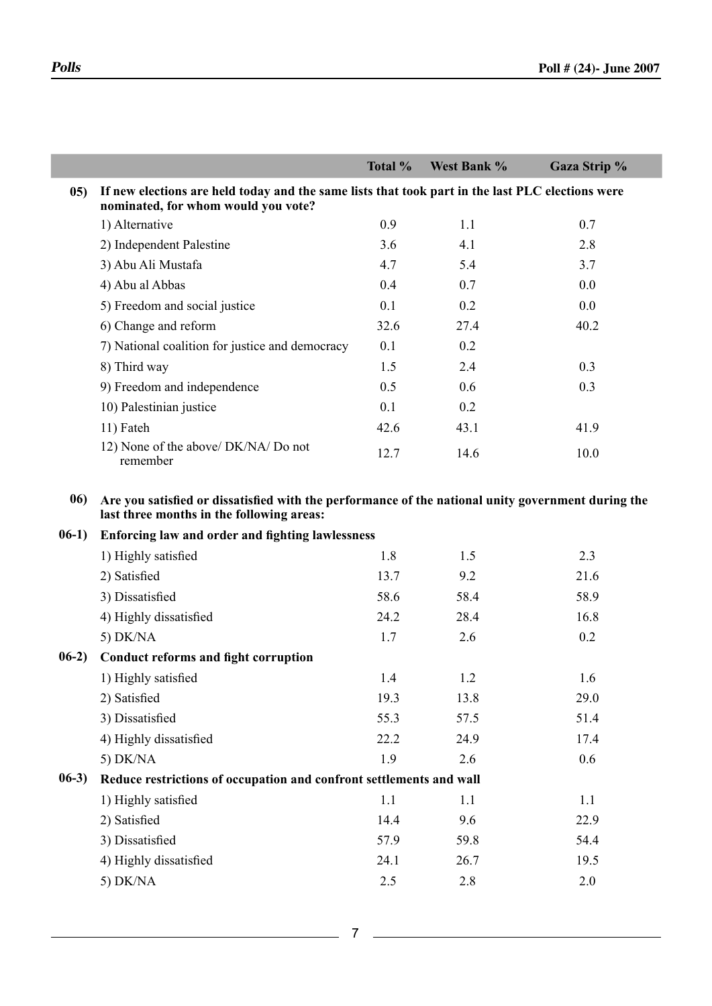I

|         |                                                                                                                                                 | Total % | West Bank % | Gaza Strip % |
|---------|-------------------------------------------------------------------------------------------------------------------------------------------------|---------|-------------|--------------|
| 05)     | If new elections are held today and the same lists that took part in the last PLC elections were<br>nominated, for whom would you vote?         |         |             |              |
|         | 1) Alternative                                                                                                                                  | 0.9     | 1.1         | 0.7          |
|         | 2) Independent Palestine                                                                                                                        | 3.6     | 4.1         | 2.8          |
|         | 3) Abu Ali Mustafa                                                                                                                              | 4.7     | 5.4         | 3.7          |
|         | 4) Abu al Abbas                                                                                                                                 | 0.4     | 0.7         | 0.0          |
|         | 5) Freedom and social justice                                                                                                                   | 0.1     | 0.2         | 0.0          |
|         | 6) Change and reform                                                                                                                            | 32.6    | 27.4        | 40.2         |
|         | 7) National coalition for justice and democracy                                                                                                 | 0.1     | 0.2         |              |
|         | 8) Third way                                                                                                                                    | 1.5     | 2.4         | 0.3          |
|         | 9) Freedom and independence                                                                                                                     | 0.5     | 0.6         | 0.3          |
|         | 10) Palestinian justice                                                                                                                         | 0.1     | 0.2         |              |
|         | 11) Fateh                                                                                                                                       | 42.6    | 43.1        | 41.9         |
|         | 12) None of the above/ DK/NA/ Do not<br>remember                                                                                                | 12.7    | 14.6        | 10.0         |
| 06)     | Are you satisfied or dissatisfied with the performance of the national unity government during the<br>last three months in the following areas: |         |             |              |
| $06-1)$ | <b>Enforcing law and order and fighting lawlessness</b>                                                                                         |         |             |              |
|         | 1) Highly satisfied                                                                                                                             | 1.8     | 1.5         | 2.3          |
|         | 2) Satisfied                                                                                                                                    | 13.7    | 9.2         | 21.6         |
|         | 3) Dissatisfied                                                                                                                                 | 58.6    | 58.4        | 58.9         |
|         | 4) Highly dissatisfied                                                                                                                          | 24.2    | 28.4        | 16.8         |
|         | 5) $DK/NA$                                                                                                                                      | 1.7     | 2.6         | 0.2          |
| $06-2)$ | <b>Conduct reforms and fight corruption</b>                                                                                                     |         |             |              |
|         | 1) Highly satisfied                                                                                                                             | 1.4     | 1.2         | 1.6          |
|         | 2) Satisfied                                                                                                                                    | 19.3    | 13.8        | 29.0         |
|         | 3) Dissatisfied                                                                                                                                 | 55.3    | 57.5        | 51.4         |
|         | 4) Highly dissatisfied                                                                                                                          | 22.2    | 24.9        | 17.4         |
|         | $5)$ DK/NA                                                                                                                                      | 1.9     | 2.6         | 0.6          |
| $06-3)$ | Reduce restrictions of occupation and confront settlements and wall                                                                             |         |             |              |
|         | 1) Highly satisfied                                                                                                                             | 1.1     | 1.1         | 1.1          |
|         | 2) Satisfied                                                                                                                                    | 14.4    | 9.6         | 22.9         |
|         | 3) Dissatisfied                                                                                                                                 | 57.9    | 59.8        | 54.4         |
|         | 4) Highly dissatisfied                                                                                                                          | 24.1    | 26.7        | 19.5         |
|         | 5) $DK/NA$                                                                                                                                      | 2.5     | 2.8         | 2.0          |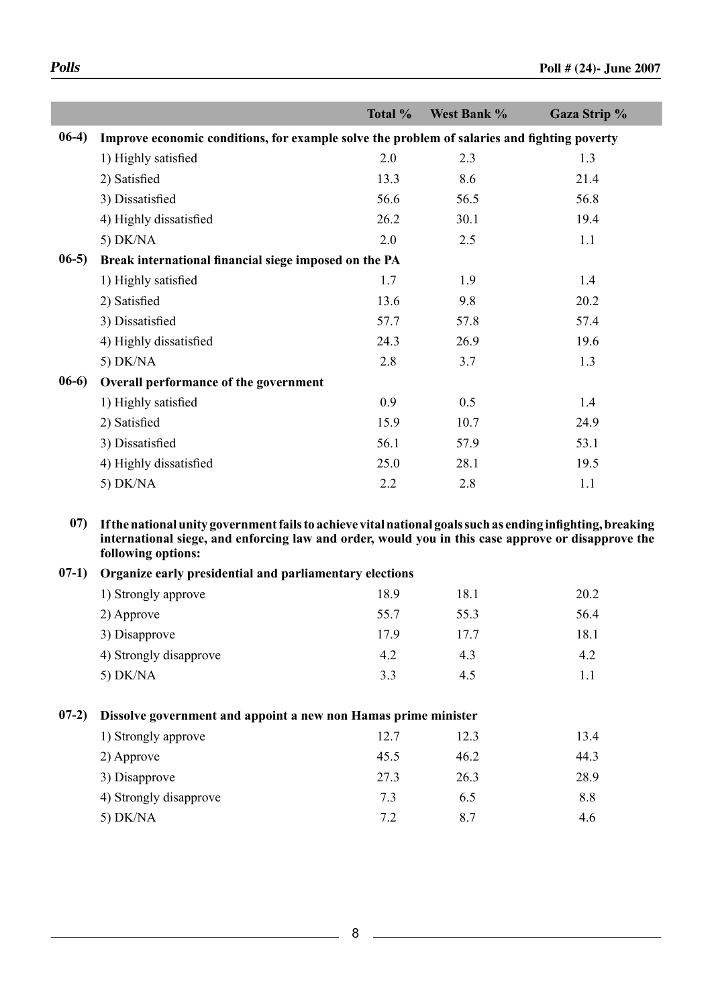|         |                                                                                             | Total % | West Bank % | Gaza Strip % |
|---------|---------------------------------------------------------------------------------------------|---------|-------------|--------------|
| $06-4)$ | Improve economic conditions, for example solve the problem of salaries and fighting poverty |         |             |              |
|         | 1) Highly satisfied                                                                         | 2.0     | 2.3         | 1.3          |
|         | 2) Satisfied                                                                                | 13.3    | 8.6         | 21.4         |
|         | 3) Dissatisfied                                                                             | 56.6    | 56.5        | 56.8         |
|         | 4) Highly dissatisfied                                                                      | 26.2    | 30.1        | 19.4         |
|         | 5) $DK/NA$                                                                                  | 2.0     | 2.5         | 1.1          |
| $06-5)$ | Break international financial siege imposed on the PA                                       |         |             |              |
|         | 1) Highly satisfied                                                                         | 1.7     | 1.9         | 1.4          |
|         | 2) Satisfied                                                                                | 13.6    | 9.8         | 20.2         |
|         | 3) Dissatisfied                                                                             | 57.7    | 57.8        | 57.4         |
|         | 4) Highly dissatisfied                                                                      | 24.3    | 26.9        | 19.6         |
|         | 5) $DK/NA$                                                                                  | 2.8     | 3.7         | 1.3          |
| $06-6)$ | Overall performance of the government                                                       |         |             |              |
|         | 1) Highly satisfied                                                                         | 0.9     | 0.5         | 1.4          |
|         | 2) Satisfied                                                                                | 15.9    | 10.7        | 24.9         |
|         | 3) Dissatisfied                                                                             | 56.1    | 57.9        | 53.1         |
|         | 4) Highly dissatisfied                                                                      | 25.0    | 28.1        | 19.5         |
|         | 5) $DK/NA$                                                                                  | 2.2     | 2.8         | 1.1          |

**international siege, and enforcing law and order, would you in this case approve or disapprove the following options:**

|  | 07-1) Organize early presidential and parliamentary elections |  |
|--|---------------------------------------------------------------|--|
|  |                                                               |  |

| 1) Strongly approve    | 18.9 | 18.1 | 20.2 |
|------------------------|------|------|------|
| 2) Approve             | 55.7 | 55.3 | 56.4 |
| 3) Disapprove          | 179  | 177  | 18.1 |
| 4) Strongly disapprove | 4.2  | 43   | 4.2  |
| 5) $DK/NA$             | 3.3  | 4.5  |      |

### **07-2) Dissolve government and appoint a new non Hamas prime minister**

| 1) Strongly approve    | 12.7 | 12.3 | 13.4 |
|------------------------|------|------|------|
| 2) Approve             | 45.5 | 46.2 | 44.3 |
| 3) Disapprove          | 27.3 | 26.3 | 28.9 |
| 4) Strongly disapprove | 7.3  | 6.5  | 8.8  |
| $5)$ DK/NA             | 7.2  | 8.7  | 4.6  |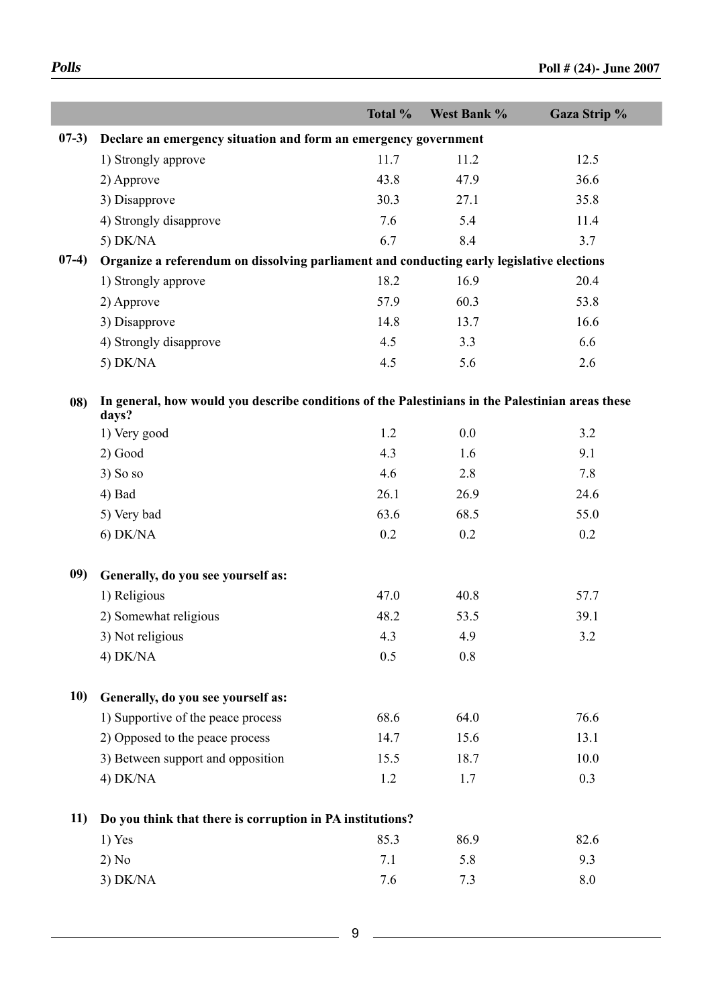|          |                                                                                                           | Total % | West Bank % | Gaza Strip % |
|----------|-----------------------------------------------------------------------------------------------------------|---------|-------------|--------------|
| $07-3)$  | Declare an emergency situation and form an emergency government                                           |         |             |              |
|          | 1) Strongly approve                                                                                       | 11.7    | 11.2        | 12.5         |
|          | 2) Approve                                                                                                | 43.8    | 47.9        | 36.6         |
|          | 3) Disapprove                                                                                             | 30.3    | 27.1        | 35.8         |
|          | 4) Strongly disapprove                                                                                    | 7.6     | 5.4         | 11.4         |
|          | 5) $DK/NA$                                                                                                | 6.7     | 8.4         | 3.7          |
| $(07-4)$ | Organize a referendum on dissolving parliament and conducting early legislative elections                 |         |             |              |
|          | 1) Strongly approve                                                                                       | 18.2    | 16.9        | 20.4         |
|          | 2) Approve                                                                                                | 57.9    | 60.3        | 53.8         |
|          | 3) Disapprove                                                                                             | 14.8    | 13.7        | 16.6         |
|          | 4) Strongly disapprove                                                                                    | 4.5     | 3.3         | 6.6          |
|          | 5) $DK/NA$                                                                                                | 4.5     | 5.6         | 2.6          |
| 08)      | In general, how would you describe conditions of the Palestinians in the Palestinian areas these<br>days? |         |             |              |
|          | 1) Very good                                                                                              | 1.2     | $0.0\,$     | 3.2          |
|          | $2)$ Good                                                                                                 | 4.3     | 1.6         | 9.1          |
|          | $3)$ So so                                                                                                | 4.6     | 2.8         | 7.8          |
|          | 4) Bad                                                                                                    | 26.1    | 26.9        | 24.6         |
|          | 5) Very bad                                                                                               | 63.6    | 68.5        | 55.0         |
|          | $6)$ DK/NA                                                                                                | 0.2     | 0.2         | 0.2          |
| 09)      | Generally, do you see yourself as:                                                                        |         |             |              |
|          | 1) Religious                                                                                              | 47.0    | 40.8        | 57.7         |
|          | 2) Somewhat religious                                                                                     | 48.2    | 53.5        | 39.1         |
|          | 3) Not religious                                                                                          | 4.3     | 4.9         | 3.2          |
|          | $4)$ DK/NA                                                                                                | 0.5     | 0.8         |              |
| 10)      | Generally, do you see yourself as:                                                                        |         |             |              |
|          | 1) Supportive of the peace process                                                                        | 68.6    | 64.0        | 76.6         |
|          | 2) Opposed to the peace process                                                                           | 14.7    | 15.6        | 13.1         |
|          | 3) Between support and opposition                                                                         | 15.5    | 18.7        | 10.0         |
|          | $4)$ DK/NA                                                                                                | 1.2     | $1.7$       | 0.3          |
|          | 11) Do you think that there is corruption in PA institutions?                                             |         |             |              |
|          | $1)$ Yes                                                                                                  | 85.3    | 86.9        | 82.6         |
|          | 2) No                                                                                                     | 7.1     | 5.8         | 9.3          |
|          | $3)$ DK/NA                                                                                                | 7.6     | 7.3         | 8.0          |
|          |                                                                                                           |         |             |              |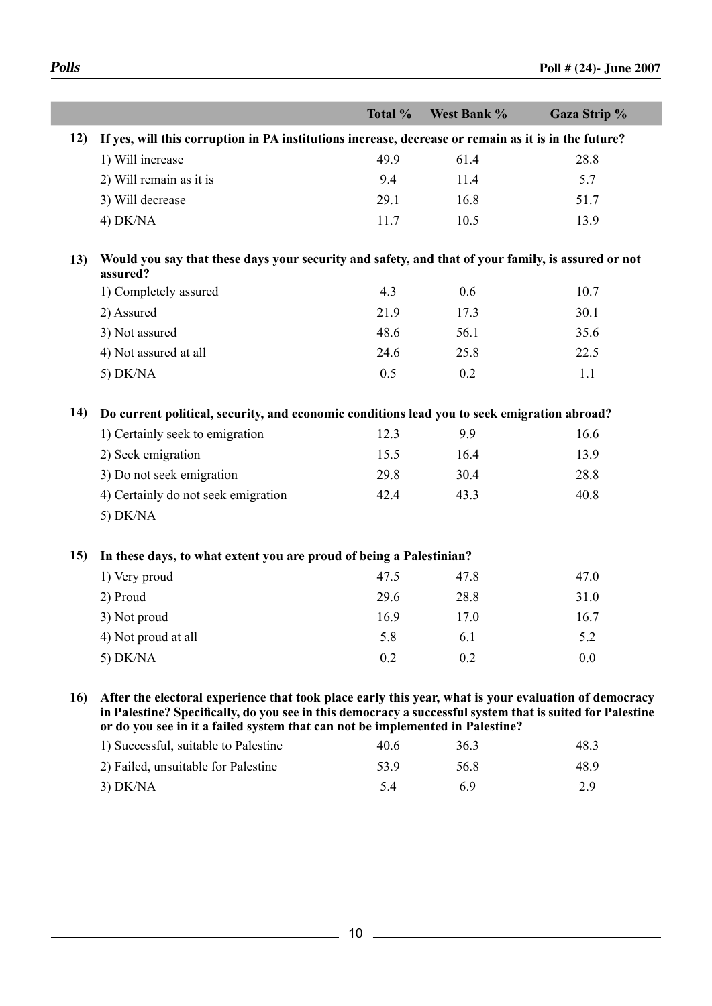|            |                                                                                                                                                                                                                                                                                                        | Total % | West Bank % | Gaza Strip % |
|------------|--------------------------------------------------------------------------------------------------------------------------------------------------------------------------------------------------------------------------------------------------------------------------------------------------------|---------|-------------|--------------|
|            | 12) If yes, will this corruption in PA institutions increase, decrease or remain as it is in the future?                                                                                                                                                                                               |         |             |              |
|            | 1) Will increase                                                                                                                                                                                                                                                                                       | 49.9    | 61.4        | 28.8         |
|            | 2) Will remain as it is                                                                                                                                                                                                                                                                                | 9.4     | 11.4        | 5.7          |
|            | 3) Will decrease                                                                                                                                                                                                                                                                                       | 29.1    | 16.8        | 51.7         |
|            | $4)$ DK/NA                                                                                                                                                                                                                                                                                             | 11.7    | 10.5        | 13.9         |
|            |                                                                                                                                                                                                                                                                                                        |         |             |              |
| 13)        | Would you say that these days your security and safety, and that of your family, is assured or not<br>assured?                                                                                                                                                                                         |         |             |              |
|            | 1) Completely assured                                                                                                                                                                                                                                                                                  | 4.3     | 0.6         | 10.7         |
|            | 2) Assured                                                                                                                                                                                                                                                                                             | 21.9    | 17.3        | 30.1         |
|            | 3) Not assured                                                                                                                                                                                                                                                                                         | 48.6    | 56.1        | 35.6         |
|            | 4) Not assured at all                                                                                                                                                                                                                                                                                  | 24.6    | 25.8        | 22.5         |
|            | 5) $DK/NA$                                                                                                                                                                                                                                                                                             | 0.5     | 0.2         | 1.1          |
|            |                                                                                                                                                                                                                                                                                                        |         |             |              |
| <b>14)</b> | Do current political, security, and economic conditions lead you to seek emigration abroad?                                                                                                                                                                                                            |         |             |              |
|            | 1) Certainly seek to emigration                                                                                                                                                                                                                                                                        | 12.3    | 9.9         | 16.6         |
|            | 2) Seek emigration                                                                                                                                                                                                                                                                                     | 15.5    | 16.4        | 13.9         |
|            | 3) Do not seek emigration                                                                                                                                                                                                                                                                              | 29.8    | 30.4        | 28.8         |
|            | 4) Certainly do not seek emigration                                                                                                                                                                                                                                                                    | 42.4    | 43.3        | 40.8         |
|            | 5) $DK/NA$                                                                                                                                                                                                                                                                                             |         |             |              |
|            |                                                                                                                                                                                                                                                                                                        |         |             |              |
| <b>15)</b> | In these days, to what extent you are proud of being a Palestinian?                                                                                                                                                                                                                                    |         |             |              |
|            | 1) Very proud                                                                                                                                                                                                                                                                                          | 47.5    | 47.8        | 47.0         |
|            | 2) Proud                                                                                                                                                                                                                                                                                               | 29.6    | 28.8        | 31.0         |
|            | 3) Not proud                                                                                                                                                                                                                                                                                           | 16.9    | 17.0        | 16.7         |
|            | 4) Not proud at all                                                                                                                                                                                                                                                                                    | 5.8     | 6.1         | 5.2          |
|            | 5) DK/NA                                                                                                                                                                                                                                                                                               | 0.2     | 0.2         | 0.0          |
|            |                                                                                                                                                                                                                                                                                                        |         |             |              |
|            | 16) After the electoral experience that took place early this year, what is your evaluation of democracy<br>in Palestine? Specifically, do you see in this democracy a successful system that is suited for Palestine<br>or do you see in it a failed system that can not be implemented in Palestine? |         |             |              |
|            | 1) Successful, suitable to Palestine                                                                                                                                                                                                                                                                   | 40.6    | 36.3        | 48.3         |

| 1) Successful, suitable to Palestine | 40 G | 36.3 | 48.3 |
|--------------------------------------|------|------|------|
| 2) Failed, unsuitable for Palestine  | 53.9 | 56.8 | 48.9 |
| $3)$ DK/NA                           |      |      | 2.9  |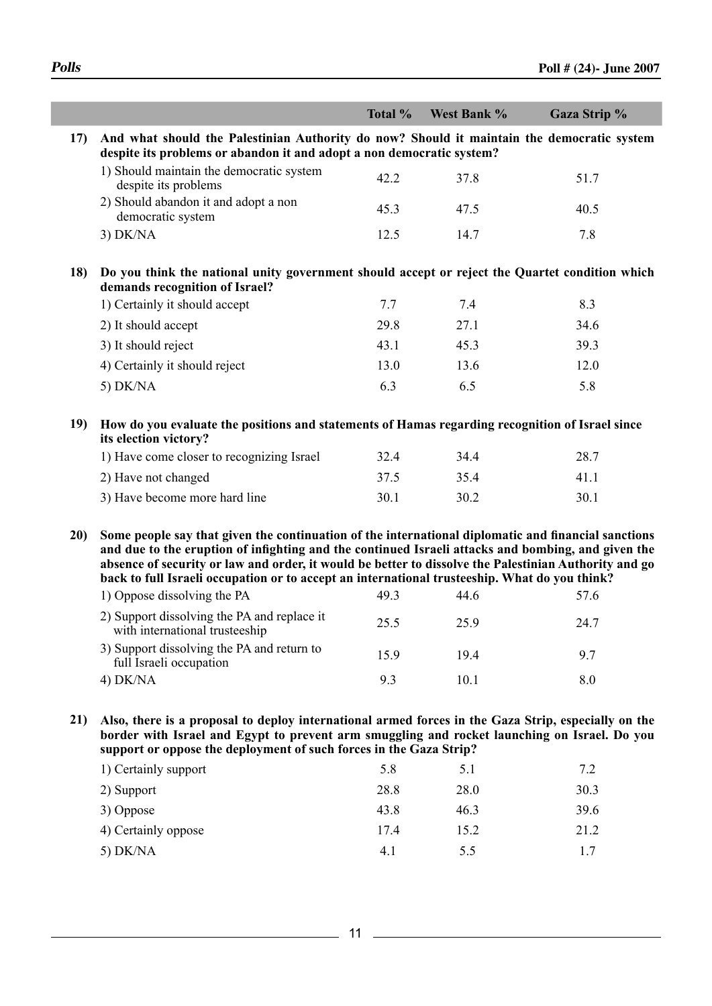|             |                                                                                                                                                                                                                                                                                                                                                                                                                     | Total % | West Bank % | Gaza Strip % |
|-------------|---------------------------------------------------------------------------------------------------------------------------------------------------------------------------------------------------------------------------------------------------------------------------------------------------------------------------------------------------------------------------------------------------------------------|---------|-------------|--------------|
| 17)         | And what should the Palestinian Authority do now? Should it maintain the democratic system<br>despite its problems or abandon it and adopt a non democratic system?                                                                                                                                                                                                                                                 |         |             |              |
|             | 1) Should maintain the democratic system<br>despite its problems                                                                                                                                                                                                                                                                                                                                                    | 42.2    | 37.8        | 51.7         |
|             | 2) Should abandon it and adopt a non<br>democratic system                                                                                                                                                                                                                                                                                                                                                           | 45.3    | 47.5        | 40.5         |
|             | $3)$ DK/NA                                                                                                                                                                                                                                                                                                                                                                                                          | 12.5    | 14.7        | 7.8          |
| <b>18</b> ) | Do you think the national unity government should accept or reject the Quartet condition which<br>demands recognition of Israel?                                                                                                                                                                                                                                                                                    |         |             |              |
|             | 1) Certainly it should accept                                                                                                                                                                                                                                                                                                                                                                                       | 7.7     | 7.4         | 8.3          |
|             | 2) It should accept                                                                                                                                                                                                                                                                                                                                                                                                 | 29.8    | 27.1        | 34.6         |
|             | 3) It should reject                                                                                                                                                                                                                                                                                                                                                                                                 | 43.1    | 45.3        | 39.3         |
|             | 4) Certainly it should reject                                                                                                                                                                                                                                                                                                                                                                                       | 13.0    | 13.6        | 12.0         |
|             | 5) $DK/NA$                                                                                                                                                                                                                                                                                                                                                                                                          | 6.3     | 6.5         | 5.8          |
| 19)         | How do you evaluate the positions and statements of Hamas regarding recognition of Israel since<br>its election victory?                                                                                                                                                                                                                                                                                            |         |             |              |
|             | 1) Have come closer to recognizing Israel                                                                                                                                                                                                                                                                                                                                                                           | 32.4    | 34.4        | 28.7         |
|             | 2) Have not changed                                                                                                                                                                                                                                                                                                                                                                                                 | 37.5    | 35.4        | 41.1         |
|             | 3) Have become more hard line                                                                                                                                                                                                                                                                                                                                                                                       | 30.1    | 30.2        | 30.1         |
| 20)         | Some people say that given the continuation of the international diplomatic and financial sanctions<br>and due to the eruption of infighting and the continued Israeli attacks and bombing, and given the<br>absence of security or law and order, it would be better to dissolve the Palestinian Authority and go<br>back to full Israeli occupation or to accept an international trusteeship. What do you think? |         |             |              |
|             | 1) Oppose dissolving the PA                                                                                                                                                                                                                                                                                                                                                                                         | 49.3    | 44.6        | 57.6         |
|             | 2) Support dissolving the PA and replace it<br>with international trusteeship                                                                                                                                                                                                                                                                                                                                       | 25.5    | 25.9        | 24.7         |
|             | 3) Support dissolving the PA and return to<br>full Israeli occupation                                                                                                                                                                                                                                                                                                                                               | 15.9    | 19.4        | 9.7          |
|             | $4)$ DK/NA                                                                                                                                                                                                                                                                                                                                                                                                          | 9.3     | 10.1        | 8.0          |
| 21)         | Also, there is a proposal to deploy international armed forces in the Gaza Strip, especially on the<br>border with Israel and Egypt to prevent arm smuggling and rocket launching on Israel. Do you<br>support or oppose the deployment of such forces in the Gaza Strip?                                                                                                                                           |         |             |              |
|             | 1) Certainly support                                                                                                                                                                                                                                                                                                                                                                                                | 5.8     | 5.1         | 7.2          |
|             | 2) Support                                                                                                                                                                                                                                                                                                                                                                                                          | 28.8    | 28.0        | 30.3         |
|             |                                                                                                                                                                                                                                                                                                                                                                                                                     |         |             |              |

| 3) Oppose           | 43.8 | 46.3 | 39.6 |
|---------------------|------|------|------|
| 4) Certainly oppose | 174  | 15.2 | 21.2 |
| 5) DK/NA            | 4.1  | 55   |      |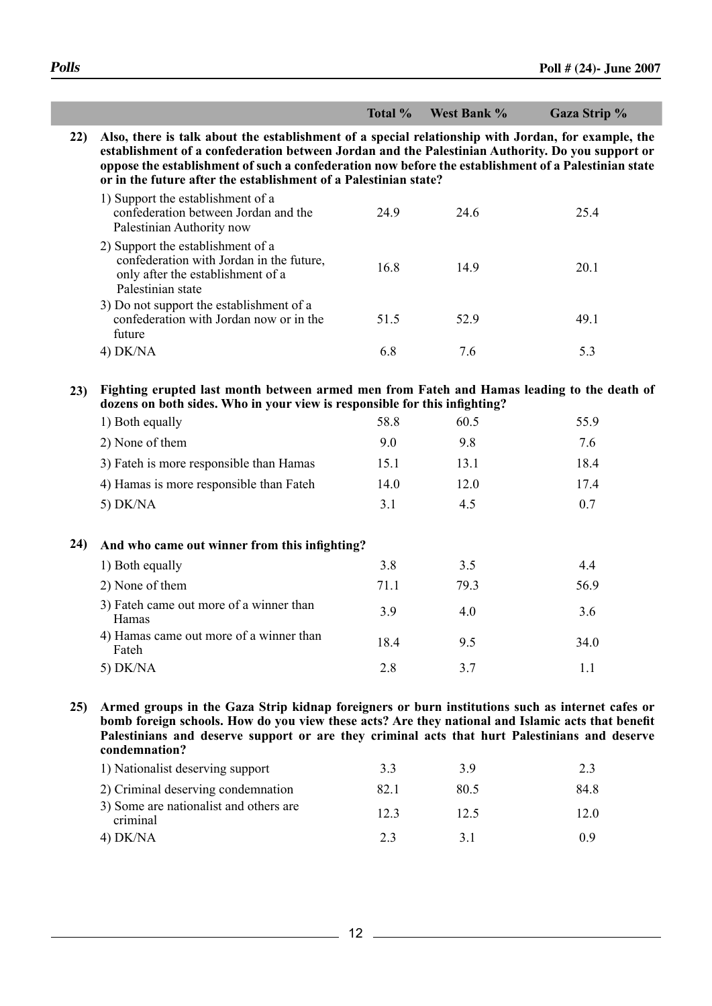|             |                                                                                                                                                                                                                                                                                                                                                                                     | Total % | West Bank % | Gaza Strip % |
|-------------|-------------------------------------------------------------------------------------------------------------------------------------------------------------------------------------------------------------------------------------------------------------------------------------------------------------------------------------------------------------------------------------|---------|-------------|--------------|
| <b>22</b> ) | Also, there is talk about the establishment of a special relationship with Jordan, for example, the<br>establishment of a confederation between Jordan and the Palestinian Authority. Do you support or<br>oppose the establishment of such a confederation now before the establishment of a Palestinian state<br>or in the future after the establishment of a Palestinian state? |         |             |              |
|             | 1) Support the establishment of a<br>confederation between Jordan and the<br>Palestinian Authority now                                                                                                                                                                                                                                                                              | 24.9    | 24.6        | 25.4         |
|             | 2) Support the establishment of a<br>confederation with Jordan in the future,<br>only after the establishment of a<br>Palestinian state                                                                                                                                                                                                                                             | 16.8    | 14.9        | 20.1         |
|             | 3) Do not support the establishment of a<br>confederation with Jordan now or in the<br>future                                                                                                                                                                                                                                                                                       | 51.5    | 52.9        | 49.1         |
|             | 4) DK/NA                                                                                                                                                                                                                                                                                                                                                                            | 6.8     | 7.6         | 5.3          |
| 23)         | Fighting erupted last month between armed men from Fateh and Hamas leading to the death of<br>dozens on both sides. Who in your view is responsible for this infighting?                                                                                                                                                                                                            |         |             |              |
|             | 1) Both equally                                                                                                                                                                                                                                                                                                                                                                     | 58.8    | 60.5        | 55.9         |
|             | 2) None of them                                                                                                                                                                                                                                                                                                                                                                     | 9.0     | 9.8         | 7.6          |
|             | 3) Fateh is more responsible than Hamas                                                                                                                                                                                                                                                                                                                                             | 15.1    | 13.1        | 18.4         |
|             | 4) Hamas is more responsible than Fateh                                                                                                                                                                                                                                                                                                                                             | 14.0    | 12.0        | 17.4         |
|             | 5) $DK/NA$                                                                                                                                                                                                                                                                                                                                                                          | 3.1     | 4.5         | 0.7          |
| 24)         | And who came out winner from this infighting?                                                                                                                                                                                                                                                                                                                                       |         |             |              |
|             | 1) Both equally                                                                                                                                                                                                                                                                                                                                                                     | 3.8     | 3.5         | 4.4          |
|             | 2) None of them                                                                                                                                                                                                                                                                                                                                                                     | 71.1    | 79.3        | 56.9         |
|             | 3) Fateh came out more of a winner than<br>Hamas                                                                                                                                                                                                                                                                                                                                    | 3.9     | 4.0         | 3.6          |
|             | 4) Hamas came out more of a winner than<br>Fateh                                                                                                                                                                                                                                                                                                                                    | 18.4    | 9.5         | 34.0         |
|             | 5) DK/NA                                                                                                                                                                                                                                                                                                                                                                            | 2.8     | 3.7         | 1.1          |
| 25)         | Armed groups in the Gaza Strip kidnap foreigners or burn institutions such as internet cafes or<br>bomb foreign schools. How do you view these acts? Are they national and Islamic acts that benefit<br>Palestinians and deserve support or are they criminal acts that hurt Palestinians and deserve<br>condemnation?                                                              |         |             |              |
|             | 1) Nationalist deserving support                                                                                                                                                                                                                                                                                                                                                    | 3.3     | 3.9         | 2.3          |
|             | 2) Criminal deserving condemnation                                                                                                                                                                                                                                                                                                                                                  | 82.1    | 80.5        | 84.8         |
|             | 3) Some are nationalist and others are<br>criminal                                                                                                                                                                                                                                                                                                                                  | 12.3    | 12.5        | 12.0         |

4) DK/NA 2.3 3.1 0.9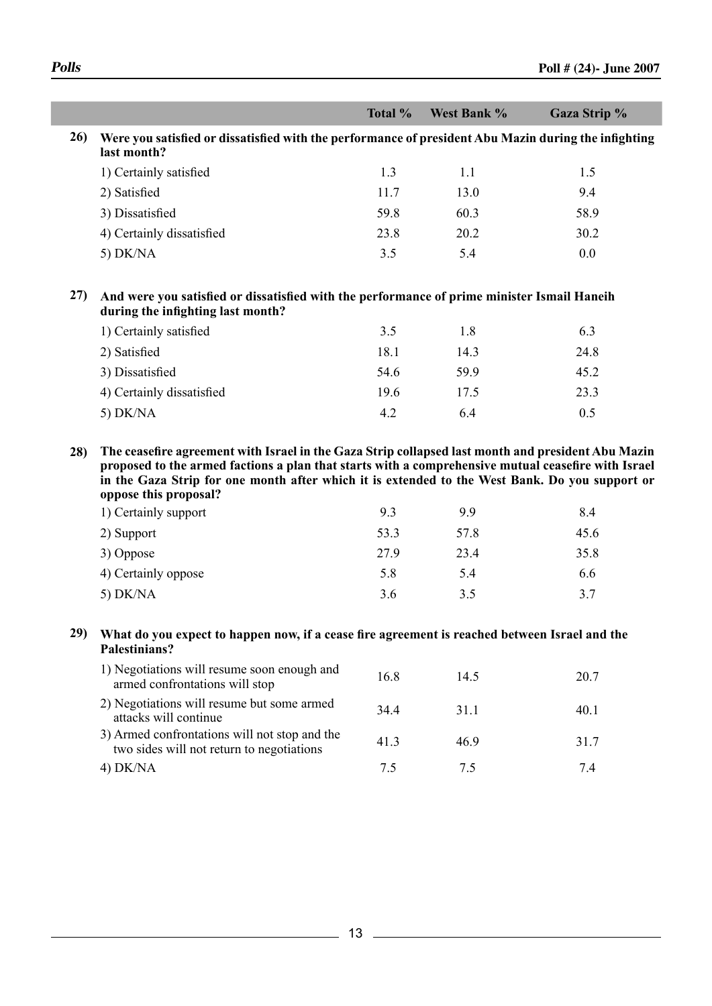| <b>Total</b> %                                                                                                          | West Bank % | <b>Gaza Strip %</b> |
|-------------------------------------------------------------------------------------------------------------------------|-------------|---------------------|
| 26) Were you satisfied or dissatisfied with the performance of president Abu Mazin during the infighting<br>last month? |             |                     |

| 1) Certainly satisfied    | 13   |      | 1.5  |
|---------------------------|------|------|------|
| 2) Satisfied              | 11.7 | 13.0 | 9.4  |
| 3) Dissatisfied           | 59.8 | 60.3 | 58.9 |
| 4) Certainly dissatisfied | 23.8 | 20.2 | 30.2 |
| $5)$ DK/NA                | 3.5  | 5.4  | 0.0  |

**27) And were you satisfied or dissatisfied with the performance of prime minister Ismail Haneih during the infighting last month?**

| 1) Certainly satisfied    | 3.5  | 1.8  | 6.3  |
|---------------------------|------|------|------|
| 2) Satisfied              | 18.1 | 14.3 | 24.8 |
| 3) Dissatisfied           | 54.6 | 599  | 45.2 |
| 4) Certainly dissatisfied | 19.6 | 17.5 | 23.3 |
| $5)$ DK/NA                | 42   | 64   | 0.5  |

**28) The ceasefire agreement with Israel in the Gaza Strip collapsed last month and president Abu Mazin proposed to the armed factions a plan that starts with a comprehensive mutual ceasefire with Israel in the Gaza Strip for one month after which it is extended to the West Bank. Do you support or oppose this proposal?** 

| 1) Certainly support | 9.3  | 99   | 8.4  |
|----------------------|------|------|------|
| 2) Support           | 53.3 | 57.8 | 45.6 |
| 3) Oppose            | 27.9 | 23.4 | 35.8 |
| 4) Certainly oppose  | 5.8  | 5.4  | 6.6  |
| 5) $DK/NA$           | 3.6  | 3.5  | 3.7  |

### **29) What do you expect to happen now, if a cease fire agreement is reached between Israel and the Palestinians?**

| 1) Negotiations will resume soon enough and<br>armed confrontations will stop              | 16.8 | 14.5 | 20.7 |
|--------------------------------------------------------------------------------------------|------|------|------|
| 2) Negotiations will resume but some armed<br>attacks will continue                        | 344  | 311  | 40.1 |
| 3) Armed confrontations will not stop and the<br>two sides will not return to negotiations | 413  | 469  | 317  |
| $4)$ DK/NA                                                                                 |      |      | 74   |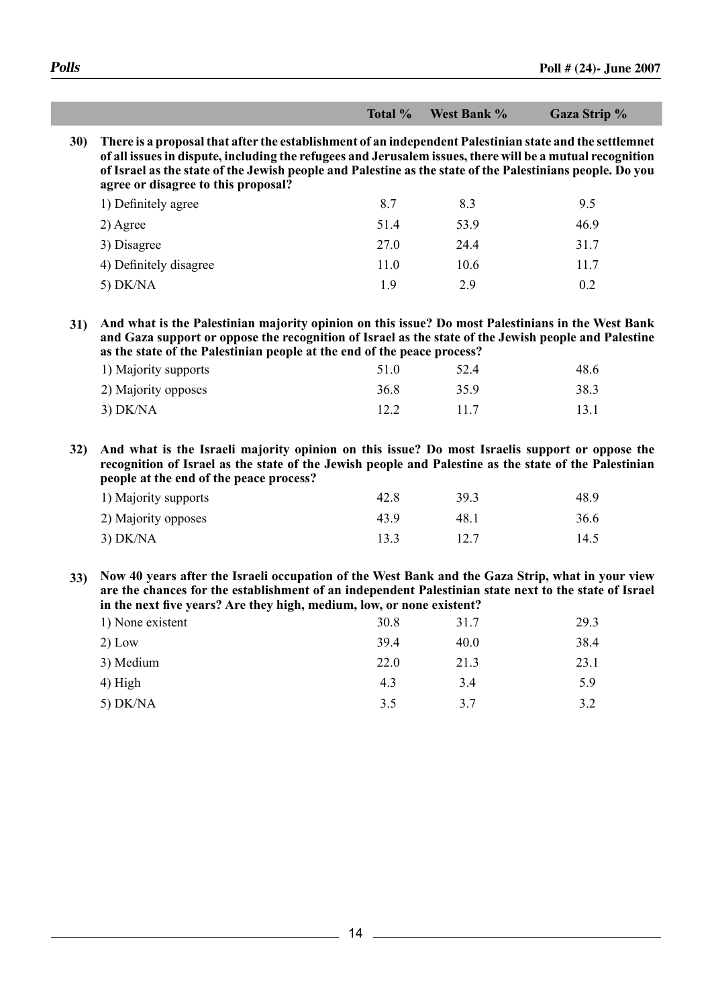|     |                                                                                                                                                                                                                                                                                                                                                                              | Total % | West Bank % |      |
|-----|------------------------------------------------------------------------------------------------------------------------------------------------------------------------------------------------------------------------------------------------------------------------------------------------------------------------------------------------------------------------------|---------|-------------|------|
|     | 30) There is a proposal that after the establishment of an independent Palestinian state and the settlemnet<br>of all issues in dispute, including the refugees and Jerusalem issues, there will be a mutual recognition<br>of Israel as the state of the Jewish people and Palestine as the state of the Palestinians people. Do you<br>agree or disagree to this proposal? |         |             |      |
|     | 1) Definitely agree                                                                                                                                                                                                                                                                                                                                                          | 8.7     | 8.3         | 9.5  |
|     | 2) Agree                                                                                                                                                                                                                                                                                                                                                                     | 51.4    | 53.9        | 46.9 |
|     | 3) Disagree                                                                                                                                                                                                                                                                                                                                                                  | 27.0    | 24.4        | 31.7 |
|     | 4) Definitely disagree                                                                                                                                                                                                                                                                                                                                                       | 11.0    | 10.6        | 11.7 |
|     | 5) $DK/NA$                                                                                                                                                                                                                                                                                                                                                                   | 1.9     | 2.9         | 0.2  |
| 31) | And what is the Palestinian majority opinion on this issue? Do most Palestinians in the West Bank<br>and Gaza support or oppose the recognition of Israel as the state of the Jewish people and Palestine<br>as the state of the Palestinian people at the end of the peace process?                                                                                         |         | 52.4        | 48.6 |
|     | 1) Majority supports                                                                                                                                                                                                                                                                                                                                                         | 51.0    |             |      |
|     | 2) Majority opposes                                                                                                                                                                                                                                                                                                                                                          | 36.8    | 35.9        | 38.3 |
|     | $3)$ DK/NA                                                                                                                                                                                                                                                                                                                                                                   | 12.2    | 11.7        | 13.1 |
|     |                                                                                                                                                                                                                                                                                                                                                                              |         |             |      |
|     | 32) And what is the Israeli majority opinion on this issue? Do most Israelis support or oppose the<br>recognition of Israel as the state of the Jewish people and Palestine as the state of the Palestinian<br>people at the end of the peace process?                                                                                                                       |         |             |      |
|     | 1) Majority supports                                                                                                                                                                                                                                                                                                                                                         | 42.8    | 39.3        | 48.9 |
|     | 2) Majority opposes                                                                                                                                                                                                                                                                                                                                                          | 43.9    | 48.1        | 36.6 |
|     | $3)$ DK/NA                                                                                                                                                                                                                                                                                                                                                                   | 13.3    | 12.7        | 14.5 |
|     | 33) Now 40 years after the Israeli occupation of the West Bank and the Gaza Strip, what in your view<br>are the chances for the establishment of an independent Palestinian state next to the state of Israel<br>in the next five years? Are they high, medium, low, or none existent?                                                                                       |         |             |      |
|     | 1) None existent                                                                                                                                                                                                                                                                                                                                                             | 30.8    | 31.7        | 29.3 |
|     | $2)$ Low                                                                                                                                                                                                                                                                                                                                                                     | 39.4    | 40.0        | 38.4 |
|     | 3) Medium                                                                                                                                                                                                                                                                                                                                                                    | 22.0    | 21.3        | 23.1 |
|     | 4) High                                                                                                                                                                                                                                                                                                                                                                      | 4.3     | 3.4         | 5.9  |

 $\overline{\phantom{a}}$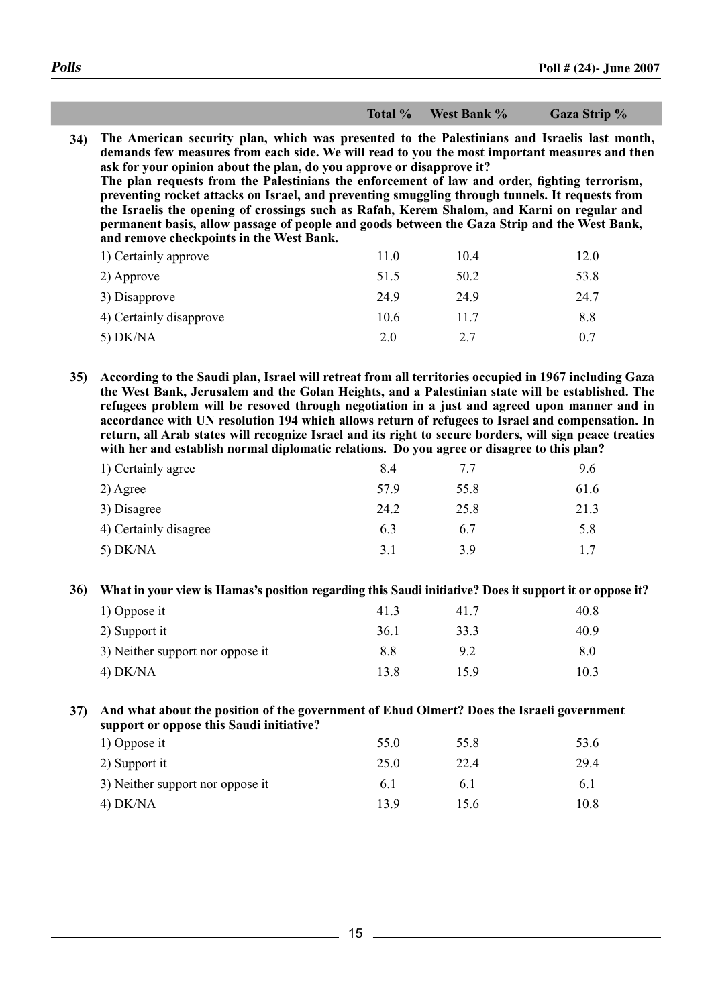**Total % West Bank % Gaza Strip % Total % West Bank % Gaza Strip %**

**34) The American security plan, which was presented to the Palestinians and Israelis last month, demands few measures from each side. We will read to you the most important measures and then ask for your opinion about the plan, do you approve or disapprove it? The plan requests from the Palestinians the enforcement of law and order, fighting terrorism, preventing rocket attacks on Israel, and preventing smuggling through tunnels. It requests from the Israelis the opening of crossings such as Rafah, Kerem Shalom, and Karni on regular and permanent basis, allow passage of people and goods between the Gaza Strip and the West Bank, and remove checkpoints in the West Bank.** 1) Certainly approve 11.0 10.4 12.0

| 1) Certainly approve    | 11.0 | 10.4 | 12.V |
|-------------------------|------|------|------|
| 2) Approve              | 51.5 | 50.2 | 53.8 |
| 3) Disapprove           | 24.9 | 24.9 | 24.7 |
| 4) Certainly disapprove | 10.6 | 11.7 | 8.8  |
| $5)$ DK/NA              | 2.0  | 2.7  | 0.7  |

**35) According to the Saudi plan, Israel will retreat from all territories occupied in 1967 including Gaza the West Bank, Jerusalem and the Golan Heights, and a Palestinian state will be established. The refugees problem will be resoved through negotiation in a just and agreed upon manner and in accordance with UN resolution 194 which allows return of refugees to Israel and compensation. In return, all Arab states will recognize Israel and its right to secure borders, will sign peace treaties with her and establish normal diplomatic relations. Do you agree or disagree to this plan?**

| 1) Certainly agree    | 8.4            | 77   | 9.6  |
|-----------------------|----------------|------|------|
| $2)$ Agree            | 57.9           | 55.8 | 61.6 |
| 3) Disagree           | 24.2           | 25.8 | 21.3 |
| 4) Certainly disagree | 6.3            | 6.7  | 5.8  |
| 5) $DK/NA$            | 3 <sub>1</sub> | 3.9  | 17   |

**36) What in your view is Hamas's position regarding this Saudi initiative? Does it support it or oppose it?**

| 1) Oppose it                     | 41.3 | 41.7 | 40.8 |
|----------------------------------|------|------|------|
| 2) Support it                    | 36.1 | 33.3 | 40.9 |
| 3) Neither support nor oppose it | 8.8  | 92   | 8.0  |
| $4)$ DK/NA                       | 13 8 | 159  | 10.3 |

**37) And what about the position of the government of Ehud Olmert? Does the Israeli government support or oppose this Saudi initiative?**

| 1) Oppose it                     | 55.0 | 55.8 | 53.6 |
|----------------------------------|------|------|------|
| 2) Support it                    | 25.0 | 22.4 | 29.4 |
| 3) Neither support nor oppose it | 6.1  | 6 I  | 6.1  |
| $4)$ DK/NA                       | 139  | 156  | 10.8 |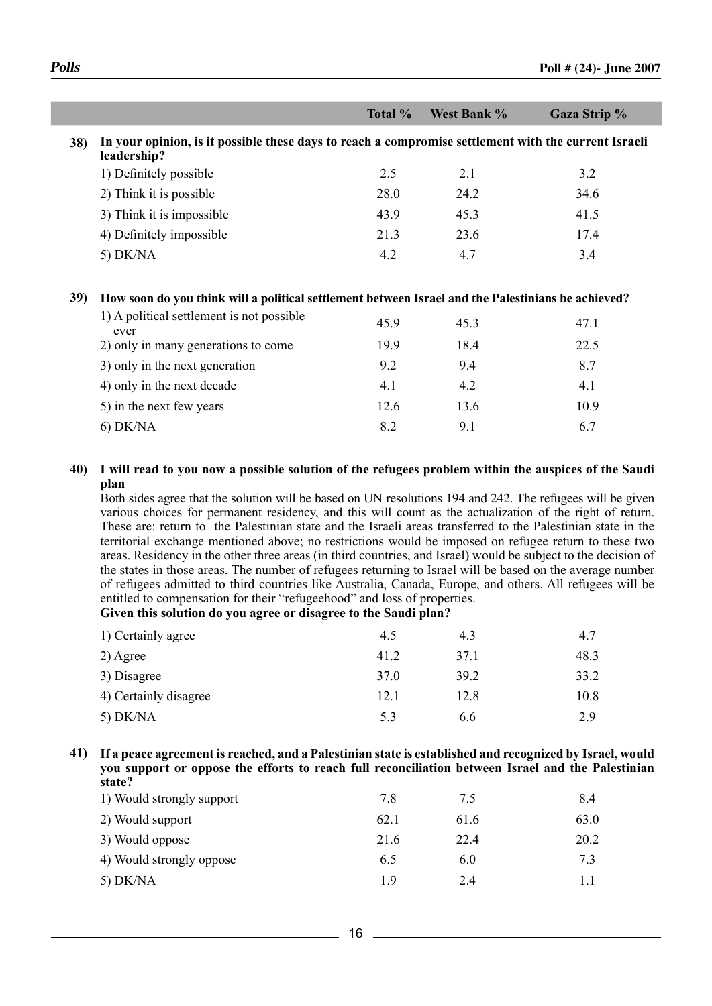|                                                                                                                         | Total %       | West Bank % | Gaza Strip %  |
|-------------------------------------------------------------------------------------------------------------------------|---------------|-------------|---------------|
| 38) In your opinion, is it possible these days to reach a compromise settlement with the current Israeli<br>leadership? |               |             |               |
| 1) Definitely possible                                                                                                  | 2.5           | 2.1         | 3.2           |
| 2) Think it is possible                                                                                                 | 28.0          | 24.2        | 34.6          |
| 3) Think it is impossible                                                                                               | 43.9          | 45.3        | 41.5          |
| 4) Definitely impossible                                                                                                | 21.3          | 23.6        | 17.4          |
| 5) $DK/NA$                                                                                                              | 4.2           | 4.7         | 3.4           |
|                                                                                                                         |               |             |               |
| 39) How soon do you think will a political settlement between Israel and the Palestinians be achieved?                  |               |             |               |
| 1) A political settlement is not possible<br>ever                                                                       | 45.9          | 45.3        | 47.1          |
| $\sim$ $\sim$ $\sim$<br>the contract of the state of the contract of the contract of the contract of the contract of    | $\sim$ $\sim$ | $\sim$      | $\sim$ $\sim$ |

| 2) only in many generations to come | 199  | 184  | 22.5 |
|-------------------------------------|------|------|------|
| 3) only in the next generation      | 9.2  | 94   | 8.7  |
| 4) only in the next decade          | 4.1  | 42   | 4.1  |
| 5) in the next few years            | 12.6 | 13.6 | 10.9 |
| $6)$ DK/NA                          | 82   | 91   | 67   |

### **40) I will read to you now a possible solution of the refugees problem within the auspices of the Saudi plan**

Both sides agree that the solution will be based on UN resolutions 194 and 242. The refugees will be given various choices for permanent residency, and this will count as the actualization of the right of return. These are: return to the Palestinian state and the Israeli areas transferred to the Palestinian state in the territorial exchange mentioned above; no restrictions would be imposed on refugee return to these two areas. Residency in the other three areas (in third countries, and Israel) would be subject to the decision of the states in those areas. The number of refugees returning to Israel will be based on the average number of refugees admitted to third countries like Australia, Canada, Europe, and others. All refugees will be entitled to compensation for their "refugeehood" and loss of properties.

**Given this solution do you agree or disagree to the Saudi plan?**

| 1) Certainly agree    | 4.5  | 4.3  | 4.7  |
|-----------------------|------|------|------|
| $2)$ Agree            | 41.2 | 37.1 | 48.3 |
| 3) Disagree           | 37.0 | 39.2 | 33.2 |
| 4) Certainly disagree | 12.1 | 12.8 | 10.8 |
| $5)$ DK/NA            | 5.3  | 6.6  | 2.9  |

#### **41) If a peace agreement is reached, and a Palestinian state is established and recognized by Israel, would you support or oppose the efforts to reach full reconciliation between Israel and the Palestinian state?**

| 7.8  | 75   | 8.4  |
|------|------|------|
| 62.1 | 61.6 | 63.0 |
| 21.6 | 22.4 | 20.2 |
| 6.5  | 6.0  | 7.3  |
| 19   | 2.4  |      |
|      |      |      |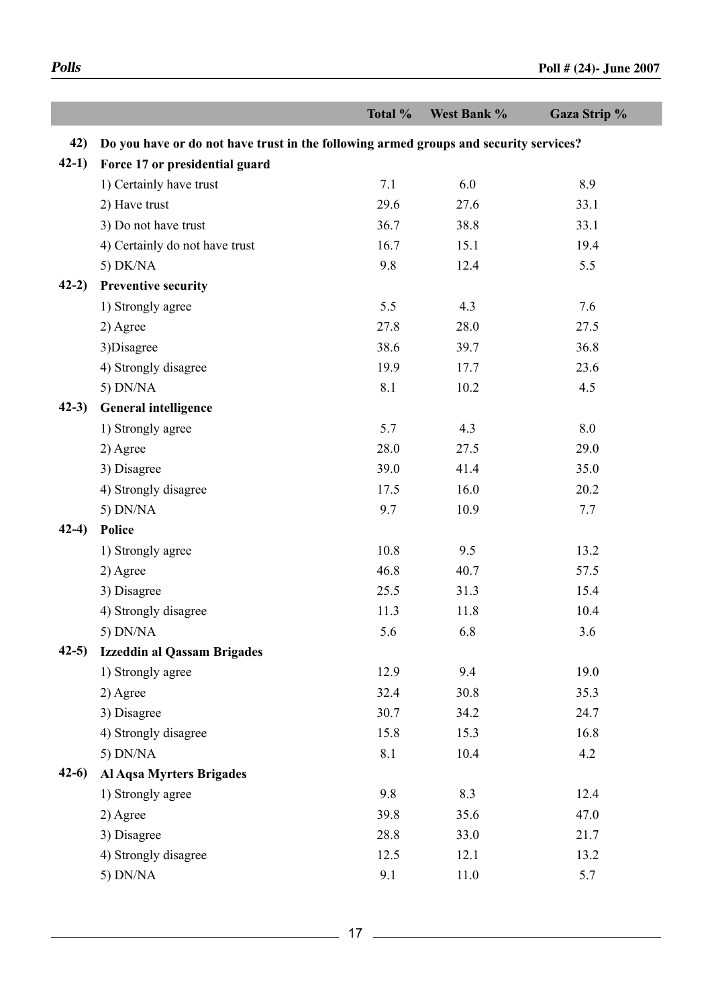|          |                                                                                       | Total % | West Bank % | Gaza Strip % |
|----------|---------------------------------------------------------------------------------------|---------|-------------|--------------|
| 42)      | Do you have or do not have trust in the following armed groups and security services? |         |             |              |
| $42-1)$  | Force 17 or presidential guard                                                        |         |             |              |
|          | 1) Certainly have trust                                                               | 7.1     | 6.0         | 8.9          |
|          | 2) Have trust                                                                         | 29.6    | 27.6        | 33.1         |
|          | 3) Do not have trust                                                                  | 36.7    | 38.8        | 33.1         |
|          | 4) Certainly do not have trust                                                        | 16.7    | 15.1        | 19.4         |
|          | 5) DK/NA                                                                              | 9.8     | 12.4        | 5.5          |
| $42-2)$  | <b>Preventive security</b>                                                            |         |             |              |
|          | 1) Strongly agree                                                                     | 5.5     | 4.3         | 7.6          |
|          | 2) Agree                                                                              | 27.8    | 28.0        | 27.5         |
|          | 3) Disagree                                                                           | 38.6    | 39.7        | 36.8         |
|          | 4) Strongly disagree                                                                  | 19.9    | 17.7        | 23.6         |
|          | 5) DN/NA                                                                              | 8.1     | 10.2        | 4.5          |
| $(42-3)$ | <b>General intelligence</b>                                                           |         |             |              |
|          | 1) Strongly agree                                                                     | 5.7     | 4.3         | 8.0          |
|          | 2) Agree                                                                              | 28.0    | 27.5        | 29.0         |
|          | 3) Disagree                                                                           | 39.0    | 41.4        | 35.0         |
|          | 4) Strongly disagree                                                                  | 17.5    | 16.0        | 20.2         |
|          | 5) DN/NA                                                                              | 9.7     | 10.9        | 7.7          |
| $42-4)$  | <b>Police</b>                                                                         |         |             |              |
|          | 1) Strongly agree                                                                     | 10.8    | 9.5         | 13.2         |
|          | 2) Agree                                                                              | 46.8    | 40.7        | 57.5         |
|          | 3) Disagree                                                                           | 25.5    | 31.3        | 15.4         |
|          | 4) Strongly disagree                                                                  | 11.3    | 11.8        | 10.4         |
|          | 5) DN/NA                                                                              | 5.6     | 6.8         | 3.6          |
| $42-5$   | <b>Izzeddin al Qassam Brigades</b>                                                    |         |             |              |
|          | 1) Strongly agree                                                                     | 12.9    | 9.4         | 19.0         |
|          | 2) Agree                                                                              | 32.4    | 30.8        | 35.3         |
|          | 3) Disagree                                                                           | 30.7    | 34.2        | 24.7         |
|          | 4) Strongly disagree                                                                  | 15.8    | 15.3        | 16.8         |
|          | 5) DN/NA                                                                              | 8.1     | 10.4        | 4.2          |
| $42-6$   | Al Aqsa Myrters Brigades                                                              |         |             |              |
|          | 1) Strongly agree                                                                     | 9.8     | 8.3         | 12.4         |
|          | 2) Agree                                                                              | 39.8    | 35.6        | 47.0         |
|          | 3) Disagree                                                                           | 28.8    | 33.0        | 21.7         |
|          | 4) Strongly disagree                                                                  | 12.5    | 12.1        | 13.2         |
|          | 5) DN/NA                                                                              | 9.1     | 11.0        | 5.7          |